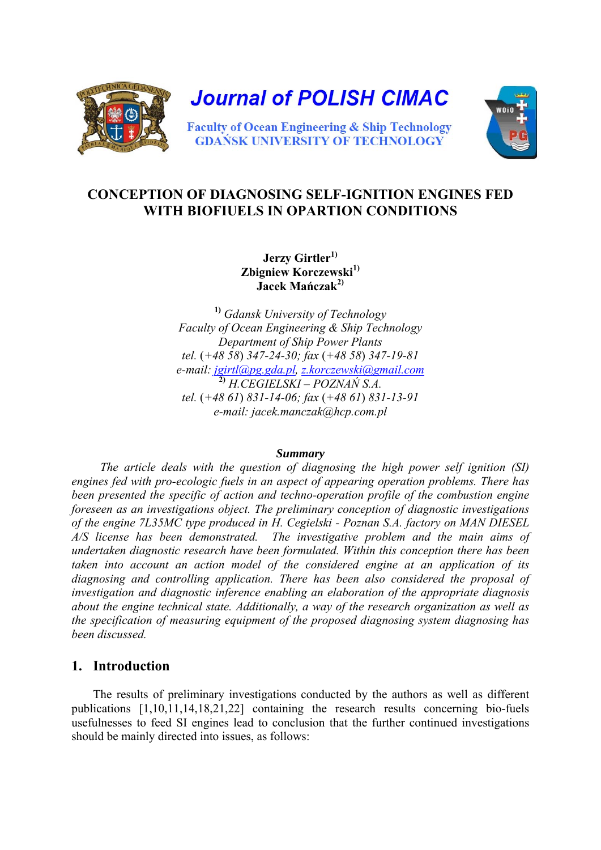

# **CONCEPTION OF DIAGNOSING SELF-IGNITION ENGINES FED WITH BIOFIUELS IN OPARTION CONDITIONS**

**Jerzy Girtler1) Zbigniew Korczewski1) Jacek Mańczak2)** 

**1)** *Gdansk University of Technology Faculty of Ocean Engineering & Ship Technology Department of Ship Power Plants tel.* (*+48 58*) *347-24-30; fax* (*+48 58*) *347-19-81 e-mail: [jgirtl@pg.gda.pl,](mailto:jgirtl@pg.gda.pl) [z.korczewski@gmail.com](mailto:z.korczewski@gmail.com)* **2)** *H.CEGIELSKI – POZNAŃ S.A. tel.* (*+48 61*) *831-14-06; fax* (*+48 61*) *831-13-91 e-mail: jacek.manczak@hcp.com.pl* 

#### *Summary*

 *The article deals with the question of diagnosing the high power self ignition (SI) engines fed with pro-ecologic fuels in an aspect of appearing operation problems. There has been presented the specific of action and techno-operation profile of the combustion engine foreseen as an investigations object. The preliminary conception of diagnostic investigations of the engine 7L35MC type produced in H. Cegielski - Poznan S.A. factory on MAN DIESEL A/S license has been demonstrated. The investigative problem and the main aims of undertaken diagnostic research have been formulated. Within this conception there has been taken into account an action model of the considered engine at an application of its diagnosing and controlling application. There has been also considered the proposal of investigation and diagnostic inference enabling an elaboration of the appropriate diagnosis about the engine technical state. Additionally, a way of the research organization as well as the specification of measuring equipment of the proposed diagnosing system diagnosing has been discussed.* 

## **1. Introduction**

The results of preliminary investigations conducted by the authors as well as different publications [1,10,11,14,18,21,22] containing the research results concerning bio-fuels usefulnesses to feed SI engines lead to conclusion that the further continued investigations should be mainly directed into issues, as follows: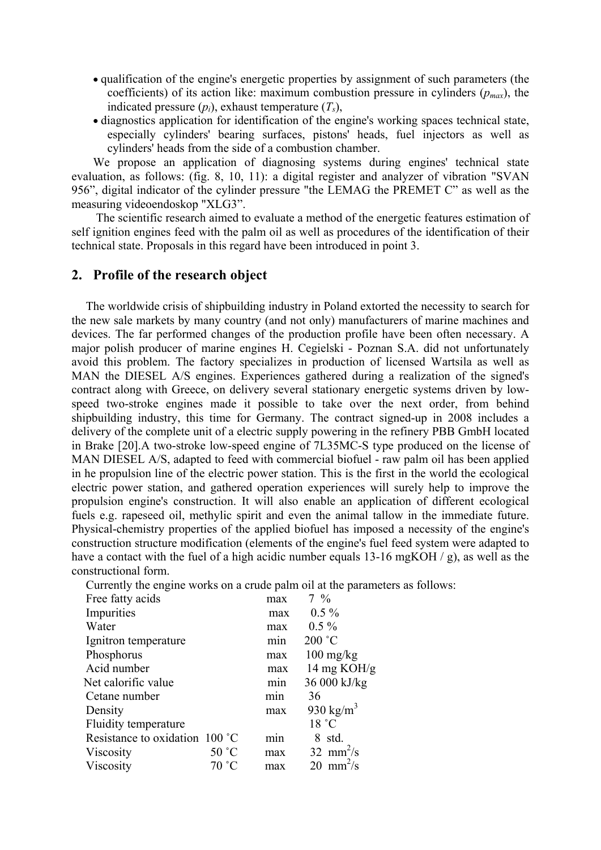- qualification of the engine's energetic properties by assignment of such parameters (the coefficients) of its action like: maximum combustion pressure in cylinders  $(p_{max})$ , the indicated pressure  $(p_i)$ , exhaust temperature  $(T_s)$ ,
- diagnostics application for identification of the engine's working spaces technical state, especially cylinders' bearing surfaces, pistons' heads, fuel injectors as well as cylinders' heads from the side of a combustion chamber.

We propose an application of diagnosing systems during engines' technical state evaluation, as follows: (fig. 8, 10, 11): a digital register and analyzer of vibration "SVAN 956", digital indicator of the cylinder pressure "the LEMAG the PREMET C" as well as the measuring videoendoskop "XLG3".

 The scientific research aimed to evaluate a method of the energetic features estimation of self ignition engines feed with the palm oil as well as procedures of the identification of their technical state. Proposals in this regard have been introduced in point 3.

## **2. Profile of the research object**

The worldwide crisis of shipbuilding industry in Poland extorted the necessity to search for the new sale markets by many country (and not only) manufacturers of marine machines and devices. The far performed changes of the production profile have been often necessary. A major polish producer of marine engines H. Cegielski - Poznan S.A. did not unfortunately avoid this problem. The factory specializes in production of licensed Wartsila as well as MAN the DIESEL A/S engines. Experiences gathered during a realization of the signed's contract along with Greece, on delivery several stationary energetic systems driven by lowspeed two-stroke engines made it possible to take over the next order, from behind shipbuilding industry, this time for Germany. The contract signed-up in 2008 includes a delivery of the complete unit of a electric supply powering in the refinery PBB GmbH located in Brake [20].A two-stroke low-speed engine of 7L35MC-S type produced on the license of MAN DIESEL A/S, adapted to feed with commercial biofuel - raw palm oil has been applied in he propulsion line of the electric power station. This is the first in the world the ecological electric power station, and gathered operation experiences will surely help to improve the propulsion engine's construction. It will also enable an application of different ecological fuels e.g. rapeseed oil, methylic spirit and even the animal tallow in the immediate future. Physical-chemistry properties of the applied biofuel has imposed a necessity of the engine's construction structure modification (elements of the engine's fuel feed system were adapted to have a contact with the fuel of a high acidic number equals 13-16 mgKOH / g), as well as the constructional form.

Currently the engine works on a crude palm oil at the parameters as follows:

| Free fatty acids               |       | max              | $7\frac{9}{6}$          |
|--------------------------------|-------|------------------|-------------------------|
| Impurities                     |       | max              | $0.5\%$                 |
| Water                          |       | max              | $0.5\%$                 |
| Ignitron temperature           |       | m <sub>1</sub> n | 200 °C                  |
| Phosphorus                     |       | max              | $100 \text{ mg/kg}$     |
| Acid number                    |       | max              | 14 mg $KOH/g$           |
| Net calorific value            |       | min              | 36 000 kJ/kg            |
| Cetane number                  |       | min              | 36                      |
| Density                        |       | max              | 930 kg/m <sup>3</sup>   |
| Fluidity temperature           |       |                  | 18 °C                   |
| Resistance to oxidation 100 °C |       | m <sub>1</sub> n | 8 std.                  |
| Viscosity                      | 50 °C | max              | 32 mm $\frac{2}{s}$     |
| Viscosity                      | 70 °C | max              | $20$ mm <sup>2</sup> /s |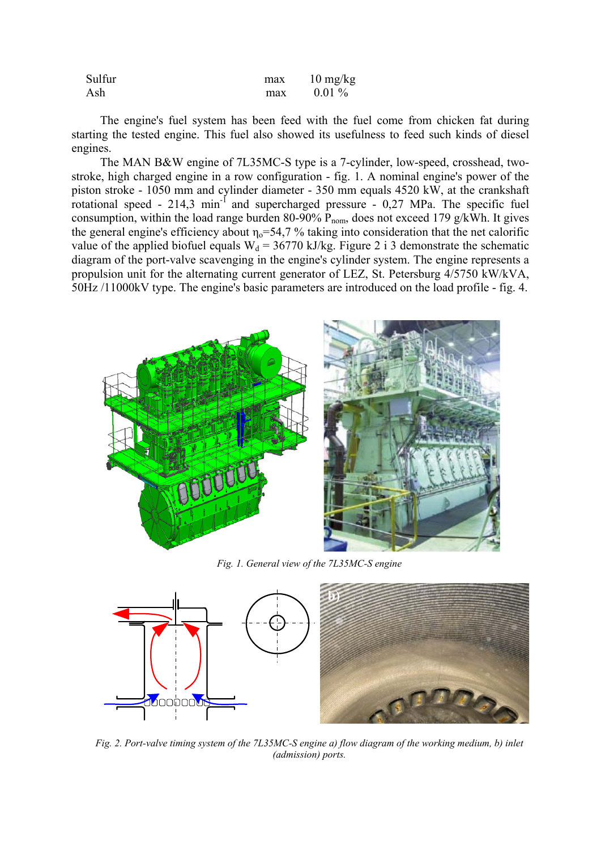| Sulfur | max | $10 \frac{\text{mg}}{\text{kg}}$ |
|--------|-----|----------------------------------|
| Ash    | max | $0.01\%$                         |

The engine's fuel system has been feed with the fuel come from chicken fat during starting the tested engine. This fuel also showed its usefulness to feed such kinds of diesel engines.

 The MAN B&W engine of 7L35MC-S type is a 7-cylinder, low-speed, crosshead, twostroke, high charged engine in a row configuration - fig. 1. A nominal engine's power of the piston stroke - 1050 mm and cylinder diameter - 350 mm equals 4520 kW, at the crankshaft rotational speed -  $214.3$  min<sup>-1</sup> and supercharged pressure -  $0.27$  MPa. The specific fuel consumption, within the load range burden 80-90%  $P_{\text{nom}}$ , does not exceed 179 g/kWh. It gives the general engine's efficiency about  $\eta_0$ =54,7 % taking into consideration that the net calorific value of the applied biofuel equals  $W_d = 36770$  kJ/kg. Figure 2 i 3 demonstrate the schematic diagram of the port-valve scavenging in the engine's cylinder system. The engine represents a propulsion unit for the alternating current generator of LEZ, St. Petersburg 4/5750 kW/kVA, 50Hz /11000kV type. The engine's basic parameters are introduced on the load profile - fig. 4.



*Fig. 1. General view of the 7L35MC-S engine* 



*Fig. 2. Port-valve timing system of the 7L35MC-S engine a) flow diagram of the working medium, b) inlet (admission) ports.*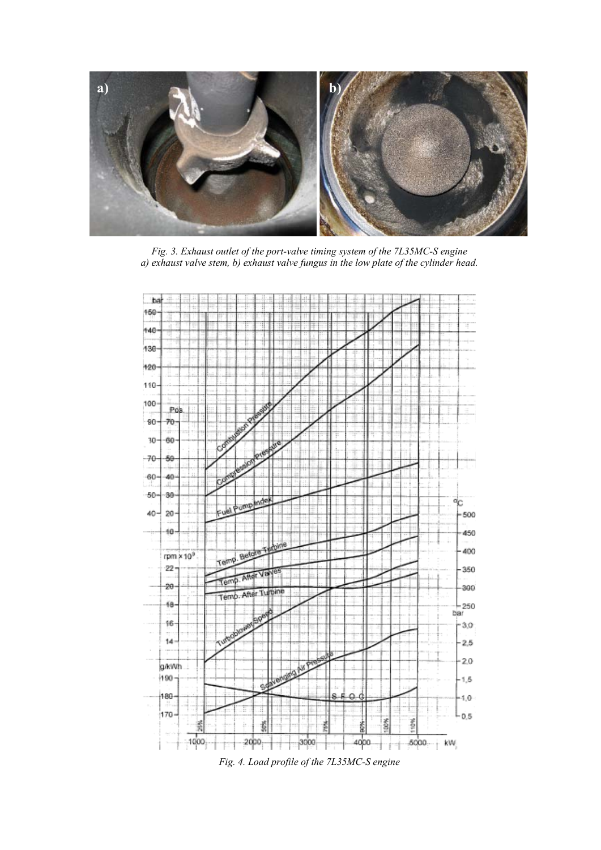

*Fig. 3. Exhaust outlet of the port-valve timing system of the 7L35MC-S engine a) exhaust valve stem, b) exhaust valve fungus in the low plate of the cylinder head.* 



*Fig. 4. Load profile of the 7L35MC-S engine*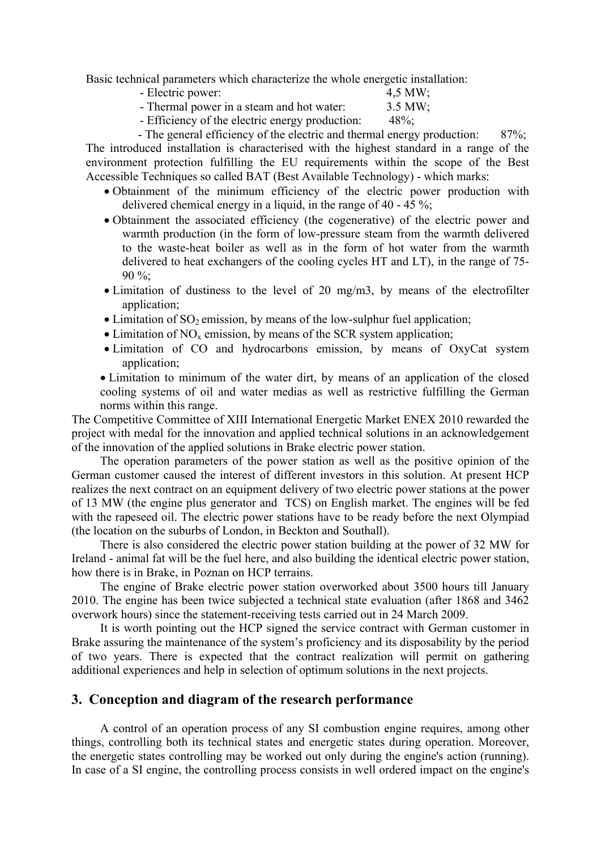Basic technical parameters which characterize the whole energetic installation:

| - Electric power:                         | $4,5$ MW; |
|-------------------------------------------|-----------|
| - Thermal power in a steam and hot water: | $3.5$ MW; |

- Efficiency of the electric energy production: 48%;

- The general efficiency of the electric and thermal energy production: 87%; The introduced installation is characterised with the highest standard in a range of the environment protection fulfilling the EU requirements within the scope of the Best Accessible Techniques so called BAT (Best Available Technology) - which marks:

- Obtainment of the minimum efficiency of the electric power production with delivered chemical energy in a liquid, in the range of 40 - 45 %;
- Obtainment the associated efficiency (the cogenerative) of the electric power and warmth production (in the form of low-pressure steam from the warmth delivered to the waste-heat boiler as well as in the form of hot water from the warmth delivered to heat exchangers of the cooling cycles HT and LT), in the range of 75- 90 %;
- Limitation of dustiness to the level of 20 mg/m3, by means of the electrofilter application;
- Limitation of  $SO_2$  emission, by means of the low-sulphur fuel application;
- Limitation of  $NO<sub>x</sub>$  emission, by means of the SCR system application;
- Limitation of CO and hydrocarbons emission, by means of OxyCat system application;

• Limitation to minimum of the water dirt, by means of an application of the closed cooling systems of oil and water medias as well as restrictive fulfilling the German norms within this range.

The Competitive Committee of XIII International Energetic Market ENEX 2010 rewarded the project with medal for the innovation and applied technical solutions in an acknowledgement of the innovation of the applied solutions in Brake electric power station.

The operation parameters of the power station as well as the positive opinion of the German customer caused the interest of different investors in this solution. At present HCP realizes the next contract on an equipment delivery of two electric power stations at the power of 13 MW (the engine plus generator and TCS) on English market. The engines will be fed with the rapeseed oil. The electric power stations have to be ready before the next Olympiad (the location on the suburbs of London, in Beckton and Southall).

There is also considered the electric power station building at the power of 32 MW for Ireland - animal fat will be the fuel here, and also building the identical electric power station, how there is i n Brake, in Poznan on HCP terrains.

The engine of Brake electric power station overworked about 3500 hours till January 2010. The engine has been twice subjected a technical state evaluation (after 1868 and 3462) overwork hours) since the statement-receiving tests carried out in 24 March 2009.

Br ake assuring the maintenance of the system's proficiency and its disposability by the period of two years. There is expected that the contract realization will permit on gathering additio nal experiences and help in selection of optimum solutions in the next projects. It is worth pointing out the HCP signed the service contract with German customer in

## **3. Co nception and diagram of the research performance**

A co ntrol of an operation process of any SI combustion engine requires, among other things, co ntrolling both its technical states and energetic states during operation. Moreover, the energetic states controlling may be worked out only during the engine's action (running). In case of a SI engine, the controlling process consists in well ordered impact on the engine's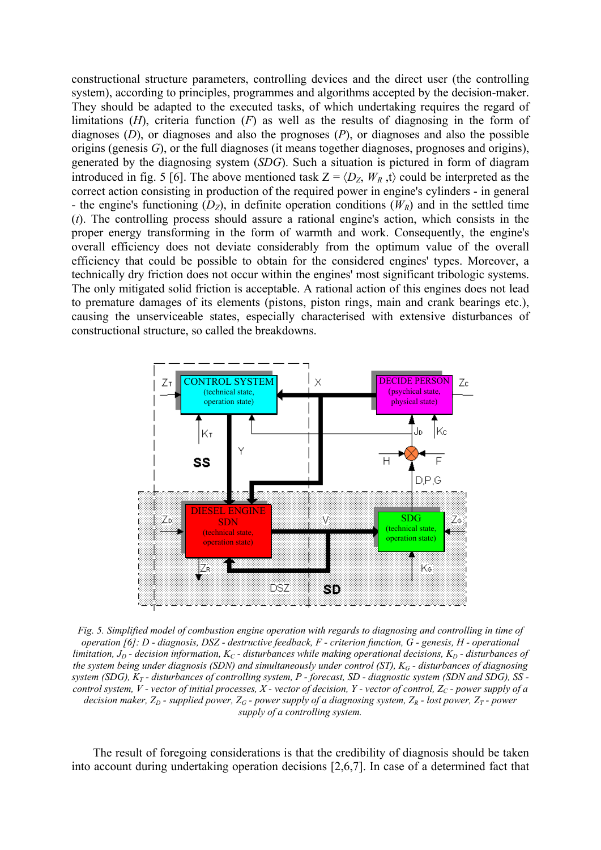constr uctional structure parameters, controlling devices and the direct user (the controlling system), according to principles, programmes and algorithms accepted by the decision-maker. They should be adapted to the executed tasks, of which undertaking requires the regard of limitations  $(H)$ , criteria function  $(F)$  as well as the results of diagnosing in the form of diagno ses (*D*), or diagnoses and also the prognoses (*P*), or diagnoses and also the possible origins ( genesis *G*), or the full diagnoses (it means together diagnoses, prognoses and origins), gener ated by the diagnosing system (*SDG*). Such a situation is pictured in form of diagram introduced in fig. 5 [6]. The above mentioned task  $Z = \langle D_z, W_R, t \rangle$  could be interpreted as the correct action consisting in production of the required power in engine's cylinders - in general overa ll efficiency does not deviate considerably from the optimum value of the overall causing the unserviceable states, especially characterised with extensive disturbances of - the engine's functioning  $(D_z)$ , in definite operation conditions  $(W_R)$  and in the settled time (*t*). The controlling process should assure a rational engine's action, which consists in the proper energy transforming in the form of warmth and work. Consequently, the engine's efficiency that could be possible to obtain for the considered engines' types. Moreover, a technically dry friction does not occur within the engines' most significant tribologic systems. The only mitigated solid friction is acceptable. A rational action of this engines does not lead to premature damages of its elements (pistons, piston rings, main and crank bearings etc.), constructional structure, so called the breakdowns.



*Fig. 5. Simplified model of combustion engine operation with regards to diagnosing and controlling in time of operation [6]: D - diagnosis, DSZ - destructive feedback, F - criterion function, G - genesis, H - operational limitation,*  $J_p$  *- decision information, K<sub>C</sub> - disturbances while making operational decisions, K<sub>D</sub> - disturbances of the system being under diagnosis (SDN) and simultaneously under control (ST), KG - disturbances of diagnosing system (SDG), KT - disturbances of controlling system, P - forecast, SD - diagnostic system (SDN and SDG), SS control system, V - vector of initial processes, X - vector of decision, Y - vector of control, Z<sub>C</sub> - power supply of a decision maker, Z<sub>D</sub> - supplied power, Z<sub>G</sub> - power supply of a diagnosing system, Z<sub>R</sub> - lost power, Z<sub>T</sub> - power supply of a controlling system.* 

The result of foregoing considerations is that the credibility of diagnosis should be taken into account during undertaking operation decisions [2,6,7]. In case of a determined fact that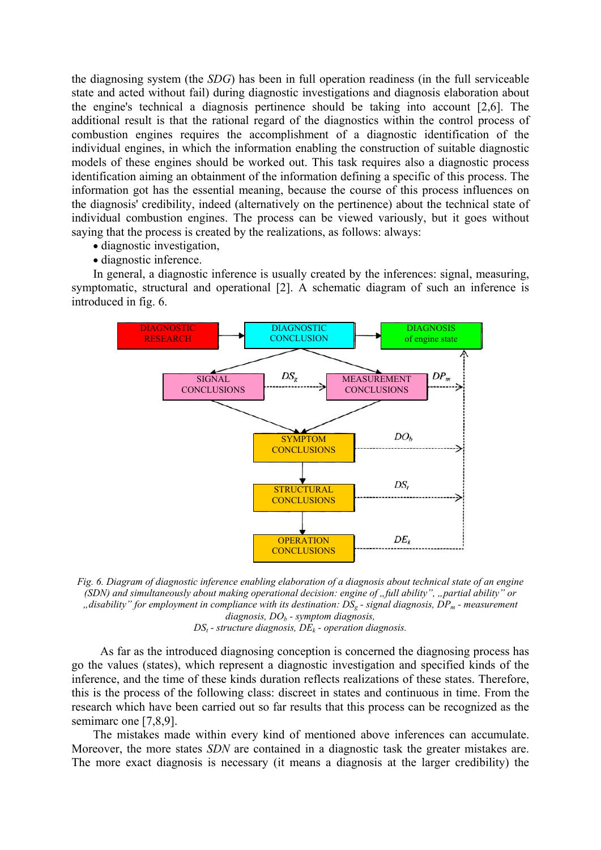the diagnosing system (the *SDG*) has been in full operation readiness (in the full serviceable state and acted without fail) during diagnostic investigations and diagnosis elaboration about the engine's technical a diagnosis pertinence should be taking into account [2,6]. The additional result is that the rational regard of the diagnostics within the control process of combustion engines requires the accomplishment of a diagnostic identification of the individual engines, in which the information enabling the construction of suitable diagnostic models of these engines should be worked out. This task requires also a diagnostic process identification aiming an obtainment of the information defining a specific of this process. The information got has the essential meaning, because the course of this process influences on the diagnosis' credibility, indeed (alternatively on the pertinence) about the technical state of individual combustion engines. The process can be viewed variously, but it goes without saying that the process is created by the realizations, as follows: always:

- diagnostic investigation,
- diagnostic inference.

In general, a diagnostic inference is usually created by the inferences: signal, measuring, symptomatic, structural and operational [2]. A schematic diagram of such an inference is introduced in fig. 6.



*Fig. 6. Diagram of diagnostic inference enabling elaboration of a diagnosis about technical state of an engine (SDN) and simultaneously about making operational decision: engine of "full ability", "partial ability" or "disability" for employment in compliance with its destination: DSg - signal diagnosis, DPm - measurement diagnosis, DOb - symptom diagnosis,*   $DS_t$  - structure diagnosis,  $DE_k$  - operation diagnosis.

As far as the introduced diagnosing conception is concerned the diagnosing process has go the values (states), which represent a diagnostic investigation and specified kinds of the inference, and the time of these kinds duration reflects realizations of these states. Therefore, this is the process of the following class: discreet in states and continuous in time. From the research which have been carried out so far results that this process can be recognized as the semimarc one [7,8,9].

The mistakes made within every kind of mentioned above inferences can accumulate. Moreover, the more states *SDN* are contained in a diagnostic task the greater mistakes are. The more exact diagnosis is necessary (it means a diagnosis at the larger credibility) the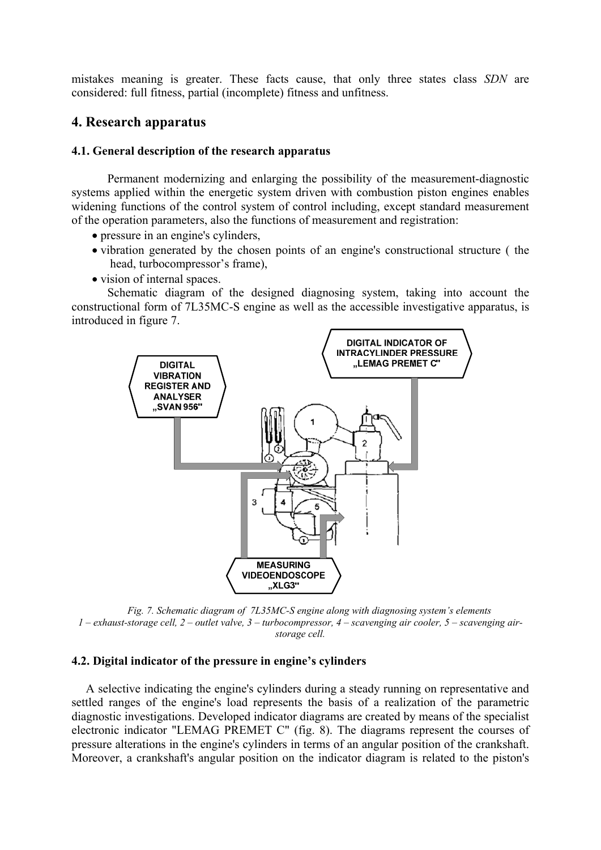mist akes meaning is greater. These facts cause, that only three states class *SDN* are considered: full fitness, partial (incomplete) fitness and unfitness.

## **4. Research apparatus**

### **4.1. General description of the research apparatus**

Permanent modernizing and enlarging the possibility of the measurement-diagnostic systems applied within the energetic system driven with combustion piston engines enables widening functions of the control system of control including, except standard measurement of the operation parameters, also the functions of measurement and registration:

- pressure in an engine's cylinders,
- vibration generated by the chosen points of an engine's constructional structure ( the head, turbocompressor's frame),
- vision of internal spaces.

Schematic diagram of the designed diagnosing system, taking into account the constructional form of 7L35MC-S engine as well as the accessible investigative apparatus, is introduced in figure 7.



*Fig. 7. Schematic diagram of 7L35MC-S engine along with diagnosing system's elements t valve, 3 – turbocompressor, 4 – scavenging air cooler, 5 – scavenging air-1 – exhaust-storage cell, 2 – outle storage cell.* 

#### **4.2. Digital indicator of the pressure in engine's cylinders**

electronic indicator "LEMAG PREMET C" (fig. 8). The diagrams represent the courses of pres sure alterations in the engine's cylinders in terms of an angular position of the crankshaft. Mor eover, a crankshaft's angular position on the indicator diagram is related to the piston's A selective indicating the engine's cylinders during a steady running on representative and settled ranges of the engine's load represents the basis of a realization of the parametric diagnostic investigations. Developed indicator diagrams are created by means of the specialist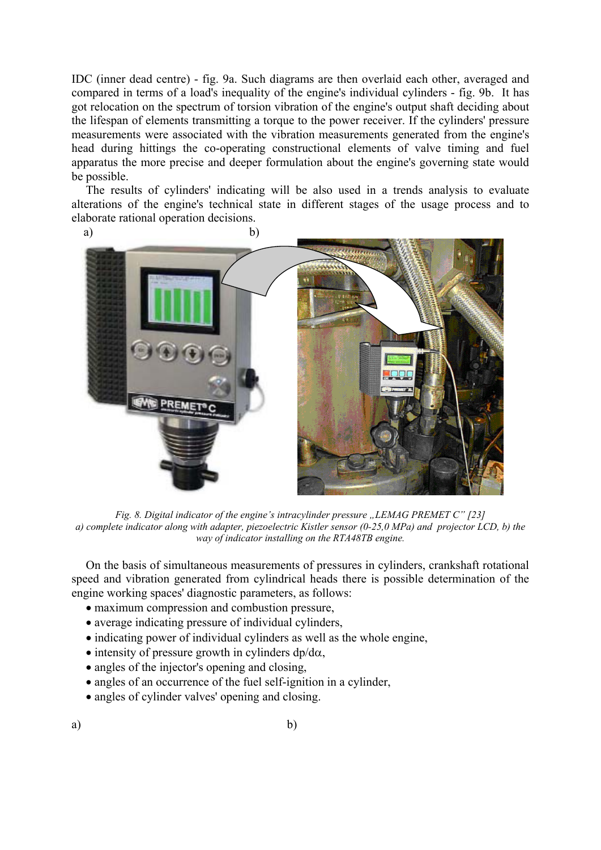IDC (inner dead centre) - fig. 9a. Such diagrams are then overlaid each other, averaged and compar ed in terms of a load's inequality of the engine's individual cylinders - fig. 9b. It has the lifespan of elements transmitting a torque to the power receiver. If the cylinders' pressure measurements were associated with the vibration measurements generated from the engine's head during hittings the co-operating constructional elements of valve timing and fuel apparatus the more precise and deeper formulation about the engine's governing state would be possible. got relocation on the spectrum of torsion vibration of the engine's output shaft deciding about

The results of cylinders' indicating will be also used in a trends analysis to evaluate alterations of the engine's technical state in different stages of the usage process and to elaborate rational operation decisions.



*Fig. 8. Digital indicator of the engine's intracylinder pressure ..LEMAG PREMET C" [23] a) complete indicator along with adapter, piezoelectric Kistler sensor (0-25,0 MPa) and projector LCD, b) the way of indicator installing on the RTA48TB engine.* 

On the basis of simultaneous measurements of pressures in cylinders, crankshaft rotational speed and vibration generated from cylindrical heads there is possible determination of the engine working spaces' diagnostic parameters, as follows:

- maximum compression and combustion pressure,
- average indicating pressure of individual cylinders,
- indicating power of individual cylinders as well as the whole engine,
- intensity of pressure growth in cylinders  $dp/d\alpha$ ,
- angles of the injector's opening and closing,
- angles of an occurrence of the fuel self-ignition in a cylinder,
- angles of cylinder valves' opening and closing.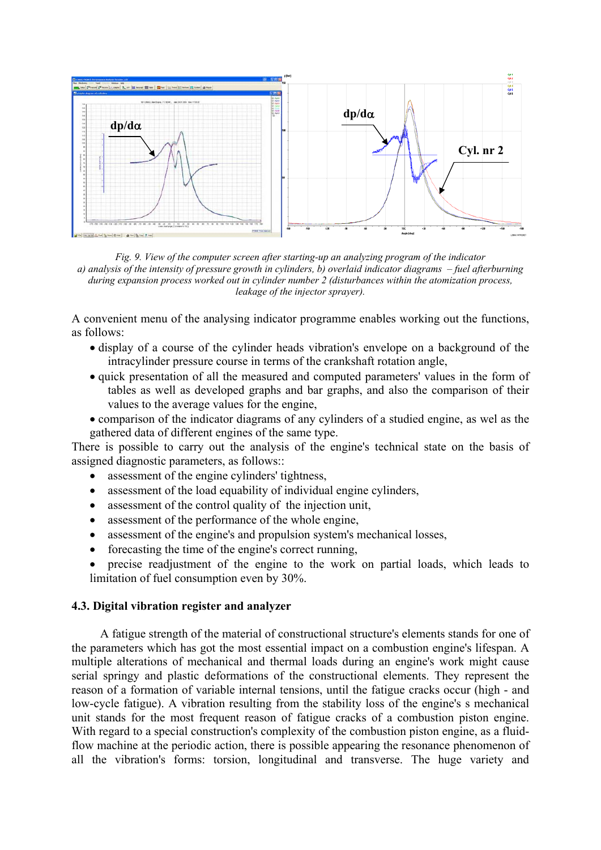

*Fig. 9. View of the computer screen after starting-up an analyzing program of the indicator a) analysis of the intensity of pressure growth in cylinders, b) overlaid indicator diagrams – fuel afterburning during expansion process worked out in cylinder number 2 (disturbances within the atomization process, leakage of the injector sprayer).* 

A convenient menu of the analysing indicator programme enables working out the functions, as follows:

- display of a course of the cylinder heads vibration's envelope on a background of the intracylinder pressure course in terms of the crankshaft rotation angle,
- quick presentation of all the measured and computed parameters' values in the form of tables as well as developed graphs and bar graphs, and also the comparison of their values to the average values for the engine,
- comparison of the indicator diagrams of any cylinders of a studied engine, as wel as the gathered data of different engines of the same type.

There is possible to carry out the analysis of the engine's technical state on the basis of ass igned diagnostic parameters, as follows::

- assessment of the engine cylinders' tightness,
- assessment of the load equability of individual engine cylinders,
- assessment of the control quality of the injection unit,
- assessment of the performance of the whole engine,
- assessment of the engine's and propulsion system's mechanical losses,
- forecasting the time of the engine's correct running,
- precise readjustment of the engine to the work on partial loads, which leads to limitation of fuel consumption even by 30%.

#### **4.3. Digital vibration register and analyzer**

A fatigue strength of the material of constructional structure's elements stands for one of the parameters which has got the most essential impact on a combustion engine's lifespan. A multiple alterations of mechanical and thermal loads during an engine's work might cause serial springy and plastic deformations of the constructional elements. They represent the reason of a formation of variable internal tensions, until the fatigue cracks occur (high - and low-cycle fatigue). A vibration resulting from the stability loss of the engine's s mechanical unit stands for the most frequent reason of fatigue cracks of a combustion piston engine. With regard to a special construction's complexity of the combustion piston engine, as a fluidflow machine at the periodic action, there is possible appearing the resonance phenomenon of all the vibration's forms: torsion, longitudinal and transverse. The huge variety and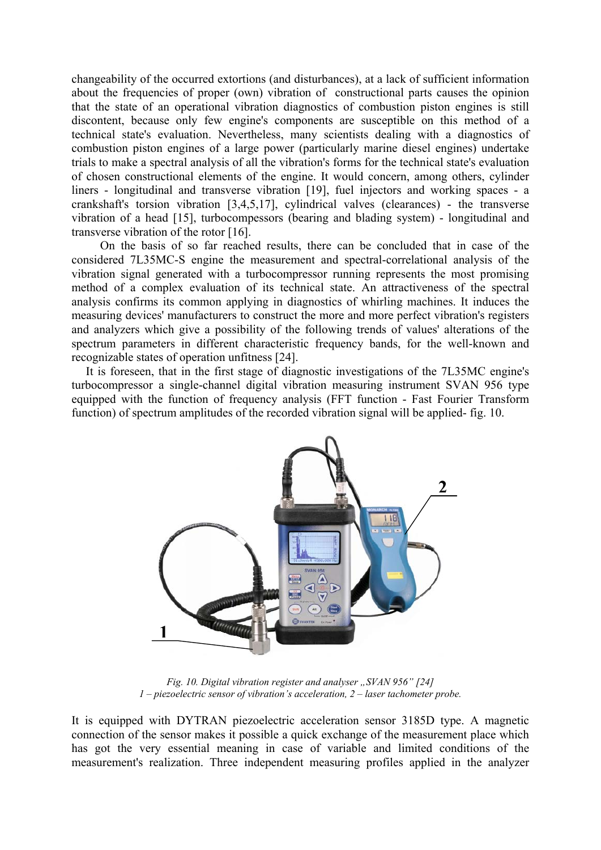c hangeability of the occurred extortions (and disturbances), at a lack of sufficient information about the frequencies of proper (own) vibration of constructional parts causes the opinion that the state of an operational vibration diagnostics of combustion piston engines is still tria ls to make a spectral analysis of all the vibration's forms for the technical state's evaluation of c hosen constructional elements of the engine. It would concern, among others, cylinder liners - longitudinal and transverse vibration [19], fuel injectors and working spaces - a cranksh aft's torsion vibration [3,4,5,17], cylindrical valves (clearances) - the transverse vibr ation of a head [15], turbocompessors (bearing and blading system) - longitudinal and tran sverse vibration of the rotor [16]. discontent, because only few engine's components are susceptible on this method of a technical state's evaluation. Nevertheless, many scientists dealing with a diagnostics of combustion piston engines of a large power (particularly marine diesel engines) undertake

vibration signal generated with a turbocompressor running represents the most promising method of a complex evaluation of its technical state. An attractiveness of the spectral analysis confirms its common applying in diagnostics of whirling machines. It induces the measuring devices' manufacturers to construct the more and more perfect vibration's registers and analyzers which give a possibility of the following trends of values' alterations of the spectrum parameters in different characteristic frequency bands, for the well-known and On the basis of so far reached results, there can be concluded that in case of the considered 7L35MC-S engine the measurement and spectral-correlational analysis of the recognizable states of operation unfitness [24].

turbocompressor a single-channel digital vibration measuring instrument SVAN 956 type equipped with the function of frequency analysis (FFT function - Fast Fourier Transform function) of spectrum amplitudes of the recorded vibration signal will be applied- fig. 10. It is foreseen, that in the first stage of diagnostic investigations of the 7L35MC engine's



*Fig. 10. Digital vibration register and analyser "SVAN 956" [24] 1 – piezoelectric sensor of vibration's acceleration, 2 – laser tachometer probe.* 

It is equipped with DYTRAN piezoelectric acceleration sensor 3185D type. A magnetic connection of the sensor makes it pos sible a quick exchange of the measurement place which has got the very essential meaning in case of variable and limited conditions of the measurement's realization. Three independent measuring profiles applied in the analyzer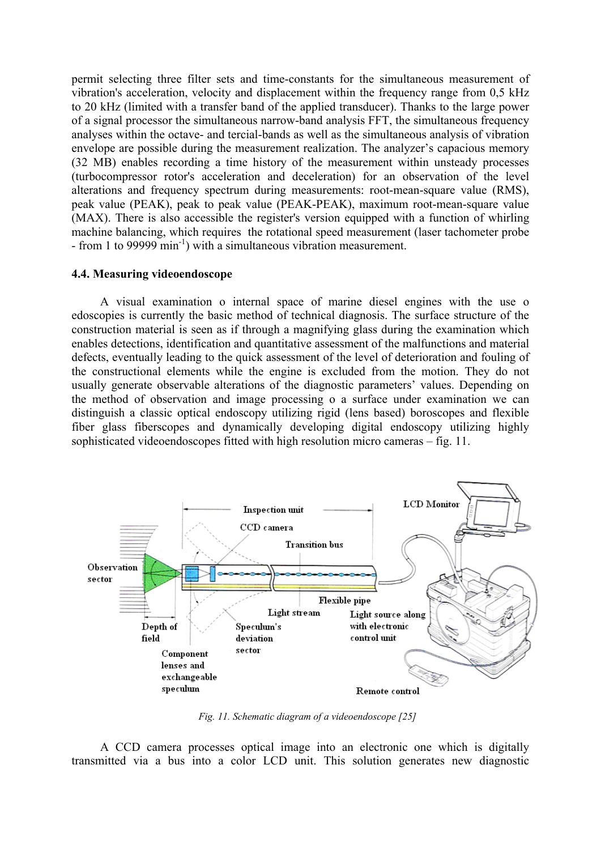permit selecting three filter sets and time-constants for the simultaneous measurement of vibration's acceleration, velocity and displacement within the frequency range from 0,5 kHz to 20 kHz (limited with a transfer band of the applied transducer). Thanks to the large power of a signal processor the simultaneous narrow-band analysis FFT, the simultaneous frequency analyses within the octave- and tercial-bands as well as the simultaneous analysis of vibration envelope are possible during the measurement realization. The analyzer's capacious memory (32 MB) enables recording a time history of the measurement within unsteady processes (tu rbocompressor rotor's acceleration and deceleration) for an observation of the level (MAX). There is also accessible the register's version equipped with a function of whirling machine balancing, which requires the rotational speed measurement (laser tachometer probe - from 1 to 99999  $\min^{-1}$ ) with a simultaneous vibration measurement. alterations and frequency spectrum during measurements: root-mean-square value (RMS), peak value (PEAK), peak to peak value (PEAK-PEAK), maximum root-mean-square value

#### **4.4. Measuring videoendoscope**

A visual examination o internal space of marine diesel engines with the use o edoscopies is currently the basic method of technical diagnosis. The surface structure of the construction material is seen as if through a magnifying glass during the examination which enables detections, identification and quantitative assessment of the malfunctions and material defects, eventually leading to the quick assessment of the level of deterioration and fouling of the constructional elements while the engine is excluded from the motion. They do not usually generate observable alterations of the diagnostic parameters' values. Depending on the method of observation and image processing o a surface under examination we can distinguish a classic optical endoscopy utilizing rigid (lens based) boroscopes and flexible fiber glass fiberscopes and dynamically developing digital endoscopy utilizing highly sophisticated videoendoscopes fitted with high resolution micro cameras – fig. 11.



*Fig. 11. Schematic diagram of a videoendoscope [25]* 

A CCD camera processes optical image into an electronic one which is digitally transmitted via a bus into a color LCD unit. This solution generates new diagnostic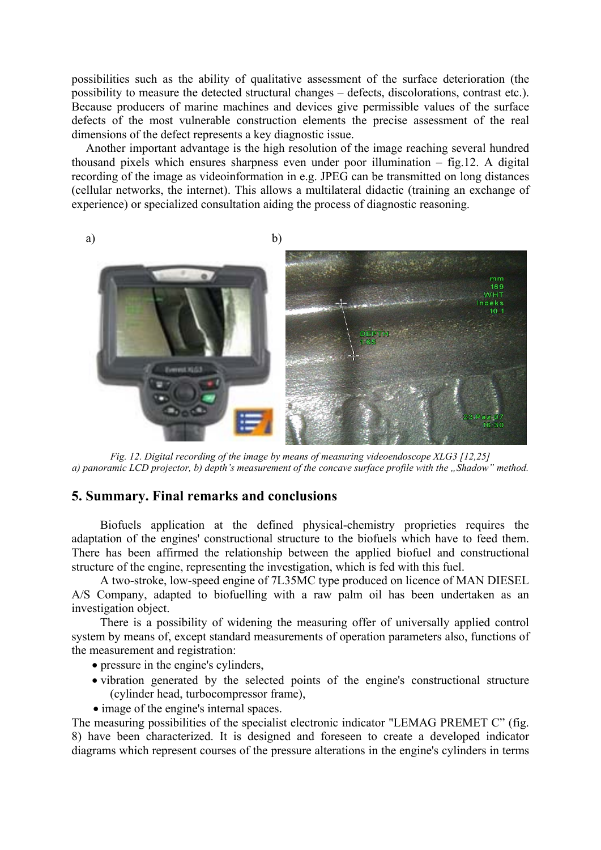possibilities such as the ability of qualitative assessment of the surface deterioration (the possibility to measure the detected structural changes – defects, discolorations, contrast etc.). Because producers of marine machines and devices give permissible values of the surface defects of the most vulnerable construction elements the precise assessment of the real dimensions of the defect represents a key diagnostic issue.

Another important advantage is the high resolution of the image reaching several hundred thousand pixels which ensures sharpness even under poor illumination – fig.12. A digital recording of the image as videoinformation in e.g. JPEG can be transmitted on long distances (cellular networks, the internet). This allows a multilateral didactic (training an exchange of experience) or specialized consultation aiding the process of diagnostic reasoning.



*Fig. 12. Digital recording of the image by means of measuring videoendoscope XLG3 [12,25] a) panoramic LCD projector, b) depth's measurement of the concave surface profile with the "Shadow" method.* 

## **5. Summary. Final remarks and conclusions**

Biofuels application at the defined physical-chemistry proprieties requires the adaptation of the engines' constructional structure to the biofuels which have to feed them. There has been affirmed the relationship between the applied biofuel and constructional structure of the engine, representing the investigation, which is fed with this fuel.

A two-stroke, low-speed engine of 7L35MC type produced on licence of MAN DIESEL A/S Company, adapted to biofuelling with a raw palm oil has been undertaken as an investigation object.

system by means of, except standard measurements of operation parameters also, functions of the measurement and registration: There is a possibility of widening the measuring offer of universally applied control

- pressure in the engine's cylinders,
- vibration generated by the selected points of the engine's constructional structure (cylinder head, turbocompressor frame),
- image of the engine's internal spaces.

The measuring possibilities of the specialist electronic indicator "LEMAG PREMET C" (fig. 8) have been characterized. It is designed and foreseen to create a developed indicator diagrams which represent courses of the pressure alterations in the engine's cylinders in terms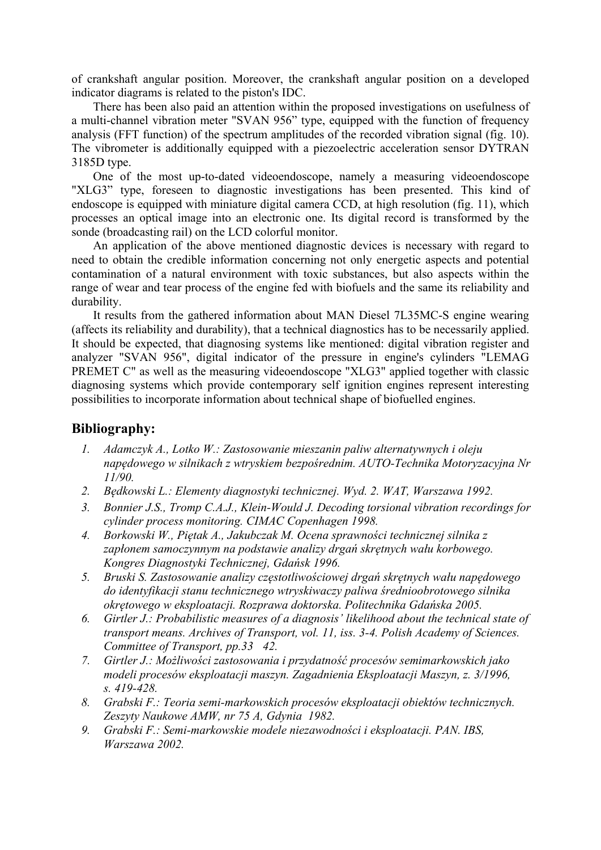of crankshaft angular position. Moreover, the crankshaft angular position on a developed indicator diagrams is related to the piston's IDC.

There has been also paid an attention within the proposed investigations on usefulness of a multi-channel vibration meter "SVAN 956" type, equipped with the function of frequency analysis (FFT function) of the spectrum amplitudes of the recorded vibration signal (fig. 10). The vibrometer is additionally equipped with a piezoelectric acceleration sensor DYTRAN 3185D type.

One of the most up-to-dated videoendoscope, namely a measuring videoendoscope "XLG3" type, foreseen to diagnostic investigations has been presented. This kind of endoscope is equipped with miniature digital camera CCD, at high resolution (fig. 11), which processes an optical image into an electronic one. Its digital record is transformed by the sonde (broadcasting rail) on the LCD colorful monitor.

An application of the above mentioned diagnostic devices is necessary with regard to need to obtain the credible information concerning not only energetic aspects and potential contamination of a natural environment with toxic substances, but also aspects within the durability. range of wear and tear process of the engine fed with biofuels and the same its reliability and

It results from the gathered information about MAN Diesel 7L35MC-S engine wearing (affects its reliability and durability), that a technical diagnostics has to be necessarily applied. It sho uld be expected, that diagnosing systems like mentioned: digital vibration register and diagnosing systems which provide contemporary self ignition engines represent interesting possib ilities to incorporate information about technical shape of biofuelled engines. analyzer "SVAN 956", digital indicator of the pressure in engine's cylinders "LEMAG PREMET C" as well as the measuring videoendoscope "XLG3" applied together with classic

# **Bibliography:**

- *1. Adamczyk A., Lotko W.: Zastosowanie mieszanin paliw alternatywnych i oleju napędowego w silnikach z wtryskiem bezpośrednim. AUTO-Technika Motoryzacyjna Nr 11/90.*
- *2. Będkowski L.: Elementy diagnostyki technicznej. Wyd. 2. WAT, Warszawa 1992.*
- *3. Bonnier J.S., Tromp C.A.J., Klein-Would J. Decoding torsional vibration recordings for cylinder process monitoring. CIMAC Copenhagen 1998.*
- *4. Borkowski W., Piętak A., Jakubczak M. Ocena sprawności technicznej silnika z zapłonem samoczynnym na podstawie analizy drgań skrętnych wału korbowego. Kongres Diagnostyki Technicznej, Gdańsk 1996.*
- *5. Bruski S. Zastosowanie analizy częstotliwościowej drgań skrętnych wału napędowego do identyfikacji stanu technicznego wtryskiwaczy paliwa średnioobrotowego silnika okrętowego w eksploatacji. Rozprawa doktorska. Politechnika Gdańska 2005.*
- *6. Girtler J.: Probabilistic measures of a diagnosis' likelihood about the technical state of transport means. Archives of Transport, vol. 11, iss. 3-4. Polish Academy of Sciences. Committee of Transport, pp.33 42.*
- *7. Girtler J.: Możliwości zastosowania i przydatność procesów semimarkowskich jako modeli procesów eksploatacji maszyn. Zagadnienia Eksploatacji Maszyn, z. 3/1996, s. 419-428.*
- *8. Grabski F.: Teoria semi-markowskich procesów eksploatacji obiektów technicznych. Zeszyty Naukowe AMW, nr 75 A, Gdynia 1982.*
- *9. Grabski F.: Semi-markowskie modele niezawodności i eksploatacji. PAN. IBS, Warszawa 2002.*